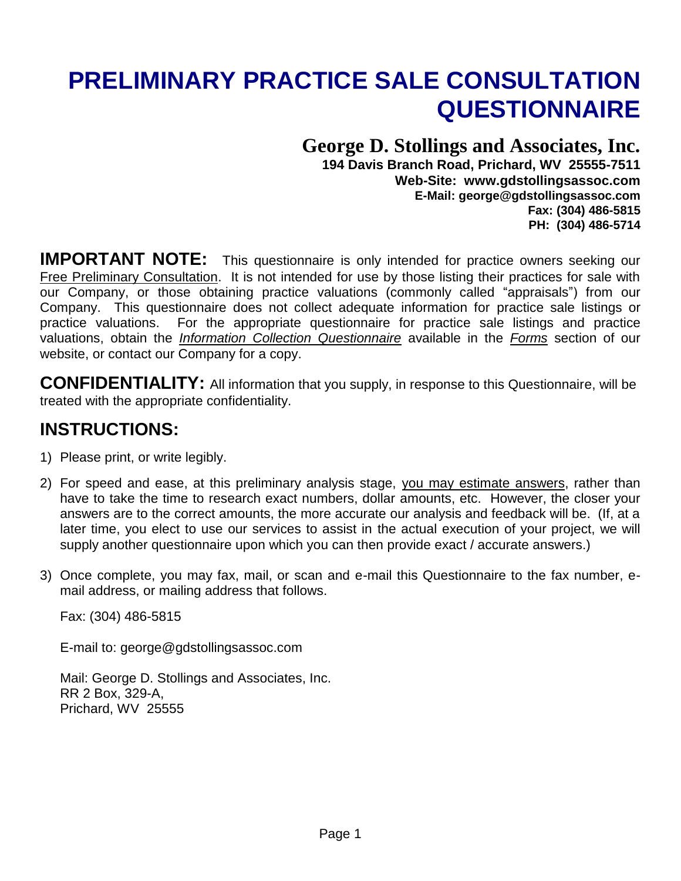# **PRELIMINARY PRACTICE SALE CONSULTATION QUESTIONNAIRE**

## **George D. Stollings and Associates, Inc.**

**194 Davis Branch Road, Prichard, WV 25555-7511 Web-Site: www.gdstollingsassoc.com E-Mail: george@gdstollingsassoc.com Fax: (304) 486-5815 PH: (304) 486-5714** 

**IMPORTANT NOTE:** This questionnaire is only intended for practice owners seeking our Free Preliminary Consultation. It is not intended for use by those listing their practices for sale with our Company, or those obtaining practice valuations (commonly called "appraisals") from our Company. This questionnaire does not collect adequate information for practice sale listings or practice valuations. For the appropriate questionnaire for practice sale listings and practice valuations, obtain the *Information Collection Questionnaire* available in the *Forms* section of our website, or contact our Company for a copy.

**CONFIDENTIALITY:** All information that you supply, in response to this Questionnaire, will be treated with the appropriate confidentiality.

## **INSTRUCTIONS:**

- 1) Please print, or write legibly.
- 2) For speed and ease, at this preliminary analysis stage, you may estimate answers, rather than have to take the time to research exact numbers, dollar amounts, etc. However, the closer your answers are to the correct amounts, the more accurate our analysis and feedback will be. (If, at a later time, you elect to use our services to assist in the actual execution of your project, we will supply another questionnaire upon which you can then provide exact / accurate answers.)
- 3) Once complete, you may fax, mail, or scan and e-mail this Questionnaire to the fax number, email address, or mailing address that follows.

Fax: (304) 486-5815

E-mail to: george@gdstollingsassoc.com

Mail: George D. Stollings and Associates, Inc. RR 2 Box, 329-A, Prichard, WV 25555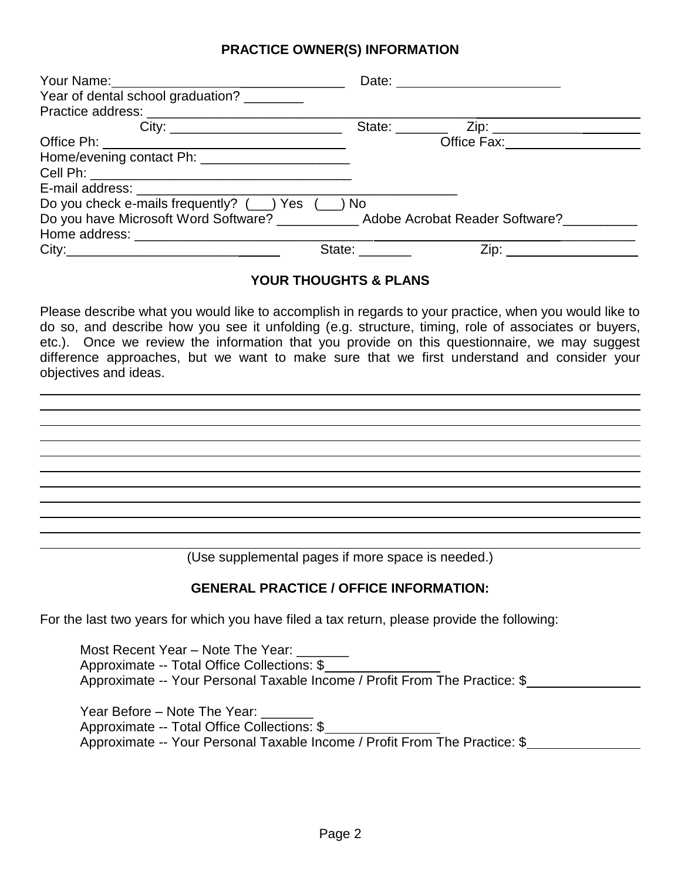#### **PRACTICE OWNER(S) INFORMATION**

|                                                                     |                | Date: _______________________           |
|---------------------------------------------------------------------|----------------|-----------------------------------------|
| Year of dental school graduation?                                   |                |                                         |
|                                                                     |                |                                         |
|                                                                     | State: _______ |                                         |
|                                                                     |                | Office Fax: <u>____________________</u> |
| Home/evening contact Ph: _____________________                      |                |                                         |
|                                                                     |                |                                         |
|                                                                     |                |                                         |
| Do you check e-mails frequently? (__) Yes (__) No                   |                |                                         |
| Do you have Microsoft Word Software? Adobe Acrobat Reader Software? |                |                                         |
|                                                                     |                |                                         |
|                                                                     | State: ______  | Zip:                                    |

#### **YOUR THOUGHTS & PLANS**

Please describe what you would like to accomplish in regards to your practice, when you would like to do so, and describe how you see it unfolding (e.g. structure, timing, role of associates or buyers, etc.). Once we review the information that you provide on this questionnaire, we may suggest difference approaches, but we want to make sure that we first understand and consider your objectives and ideas.

(Use supplemental pages if more space is needed.)

#### **GENERAL PRACTICE / OFFICE INFORMATION:**

For the last two years for which you have filed a tax return, please provide the following:

Most Recent Year - Note The Year: \_\_\_\_\_\_\_ Approximate -- Total Office Collections: \$ Approximate -- Your Personal Taxable Income / Profit From The Practice: \$

Year Before – Note The Year: Approximate -- Total Office Collections: \$ Approximate -- Your Personal Taxable Income / Profit From The Practice: \$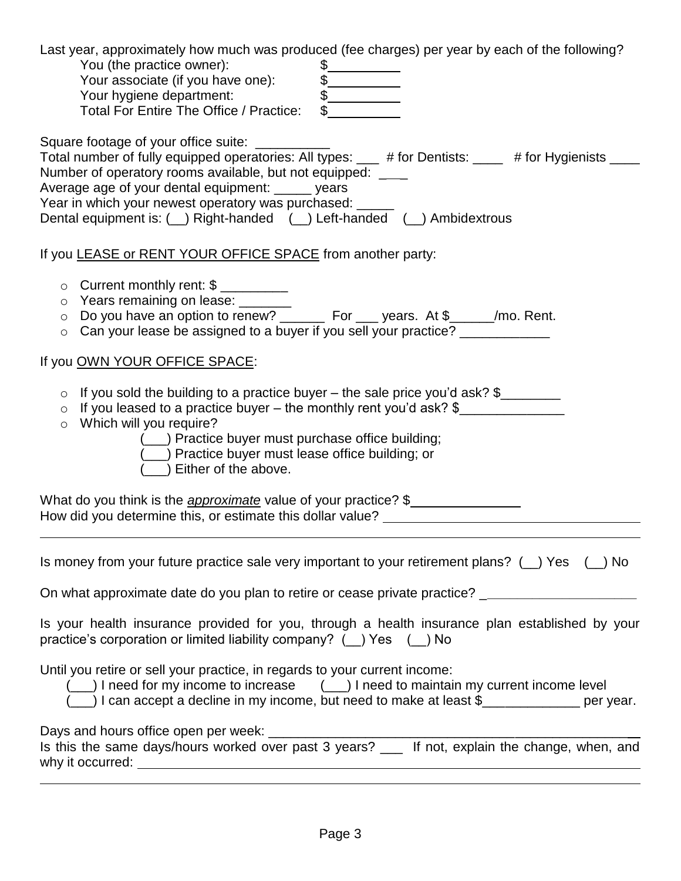| Last year, approximately how much was produced (fee charges) per year by each of the following?<br>You (the practice owner):<br>Your associate (if you have one):<br>Your hygiene department:<br>Total For Entire The Office / Practice:<br>Your hygiene department:<br>Total For Entire The Office / Practice:                                                                                                    |
|--------------------------------------------------------------------------------------------------------------------------------------------------------------------------------------------------------------------------------------------------------------------------------------------------------------------------------------------------------------------------------------------------------------------|
| Square footage of your office suite: ___________<br>Total number of fully equipped operatories: All types: ___ # for Dentists: ____ # for Hygienists ___<br>Number of operatory rooms available, but not equipped: ____<br>Average age of your dental equipment: _____ years<br>Year in which your newest operatory was purchased: _____<br>Dental equipment is: ( ) Right-handed ( ) Left-handed ( ) Ambidextrous |
| If you LEASE or RENT YOUR OFFICE SPACE from another party:                                                                                                                                                                                                                                                                                                                                                         |
| O Current monthly rent: \$<br>o Years remaining on lease: _______<br>o Do you have an option to renew? _______ For ___ years. At \$_____/mo. Rent.<br>○ Can your lease be assigned to a buyer if you sell your practice? ____________                                                                                                                                                                              |
| If you OWN YOUR OFFICE SPACE:                                                                                                                                                                                                                                                                                                                                                                                      |
| $\circ$ If you sold the building to a practice buyer – the sale price you'd ask? $\frac{1}{2}$<br>o If you leased to a practice buyer - the monthly rent you'd ask? \$<br>o Which will you require?<br>(___) Practice buyer must purchase office building;<br>(__) Practice buyer must lease office building; or<br>(__) Either of the above.                                                                      |
| What do you think is the <i>approximate</i> value of your practice? \$<br>How did you determine this, or estimate this dollar value? _____________________                                                                                                                                                                                                                                                         |
| Is money from your future practice sale very important to your retirement plans? $($ ) Yes $($ ) No<br>On what approximate date do you plan to retire or cease private practice? _________________________                                                                                                                                                                                                         |
| Is your health insurance provided for you, through a health insurance plan established by your<br>practice's corporation or limited liability company? ( () Yes ( ) No                                                                                                                                                                                                                                             |
| Until you retire or sell your practice, in regards to your current income:<br>(__) I need for my income to increase (__) I need to maintain my current income level<br>) I can accept a decline in my income, but need to make at least \$____________ per year.                                                                                                                                                   |
|                                                                                                                                                                                                                                                                                                                                                                                                                    |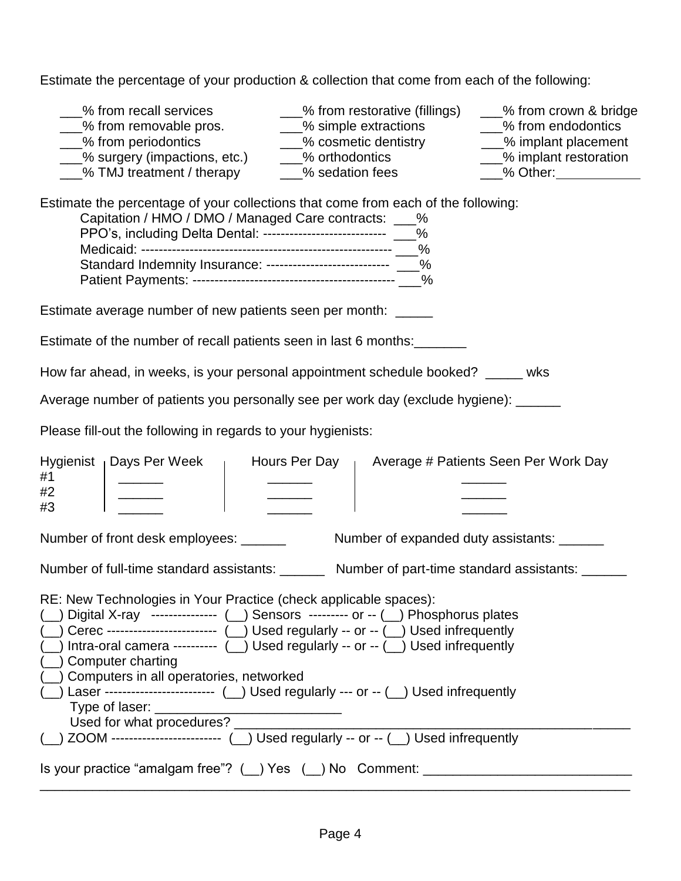Estimate the percentage of your production & collection that come from each of the following:

| % from recall services<br>___% from restorative (fillings)<br>___% from crown & bridge<br>__% from removable pros.<br>___% simple extractions<br>___% cosmetic dentistry<br>- % from endodontics<br>__% from periodontics<br>__% implant placement<br>___% surgery (impactions, etc.) _____% orthodontics<br>___% implant restoration<br>___% TMJ treatment / therapy ____% sedation fees<br>2% Other:                                                                                                                                                                                                                                                     |
|------------------------------------------------------------------------------------------------------------------------------------------------------------------------------------------------------------------------------------------------------------------------------------------------------------------------------------------------------------------------------------------------------------------------------------------------------------------------------------------------------------------------------------------------------------------------------------------------------------------------------------------------------------|
| Estimate the percentage of your collections that come from each of the following:<br>Capitation / HMO / DMO / Managed Care contracts: ___%<br>PPO's, including Delta Dental: ---------------------------- ___%<br>Standard Indemnity Insurance: --------------------------- _ %                                                                                                                                                                                                                                                                                                                                                                            |
| Estimate average number of new patients seen per month: _____                                                                                                                                                                                                                                                                                                                                                                                                                                                                                                                                                                                              |
| Estimate of the number of recall patients seen in last 6 months:                                                                                                                                                                                                                                                                                                                                                                                                                                                                                                                                                                                           |
| How far ahead, in weeks, is your personal appointment schedule booked? _____ wks                                                                                                                                                                                                                                                                                                                                                                                                                                                                                                                                                                           |
| Average number of patients you personally see per work day (exclude hygiene): ______                                                                                                                                                                                                                                                                                                                                                                                                                                                                                                                                                                       |
| Please fill-out the following in regards to your hygienists:                                                                                                                                                                                                                                                                                                                                                                                                                                                                                                                                                                                               |
| Hygienist   Days Per Week<br>$\frac{1}{1}$ Hours Per Day $\frac{1}{1}$ Average # Patients Seen Per Work Day<br>#1<br>$\begin{array}{c} \begin{array}{c} \end{array} & \begin{array}{c} \end{array} \\ \begin{array}{c} \end{array} \end{array}$<br>#2<br>#3                                                                                                                                                                                                                                                                                                                                                                                                |
| Number of front desk employees: ______<br>Number of expanded duty assistants: ______                                                                                                                                                                                                                                                                                                                                                                                                                                                                                                                                                                       |
| Number of full-time standard assistants: ________ Number of part-time standard assistants: _____                                                                                                                                                                                                                                                                                                                                                                                                                                                                                                                                                           |
| RE: New Technologies in Your Practice (check applicable spaces):<br>( _) Digital X-ray --------------- ( _) Sensors --------- or -- ( _) Phosphorus plates<br>( _) Cerec ------------------------- ( _) Used regularly -- or -- ( _) Used infrequently<br>$(\_)$ Intra-oral camera --------- $(\_)$ Used regularly -- or -- $(\_)$ Used infrequently<br>( ) Computer charting<br>( ) Computers in all operatories, networked<br>$(\_)$ Laser ------------------------ $(\_)$ Used regularly --- or -- $(\_)$ Used infrequently<br>Used for what procedures? _______<br>( ) ZOOM ------------------------ ( ) Used regularly -- or -- ( ) Used infrequently |
| Is your practice "amalgam free"? ( ) Yes ( ) No Comment: _______________________                                                                                                                                                                                                                                                                                                                                                                                                                                                                                                                                                                           |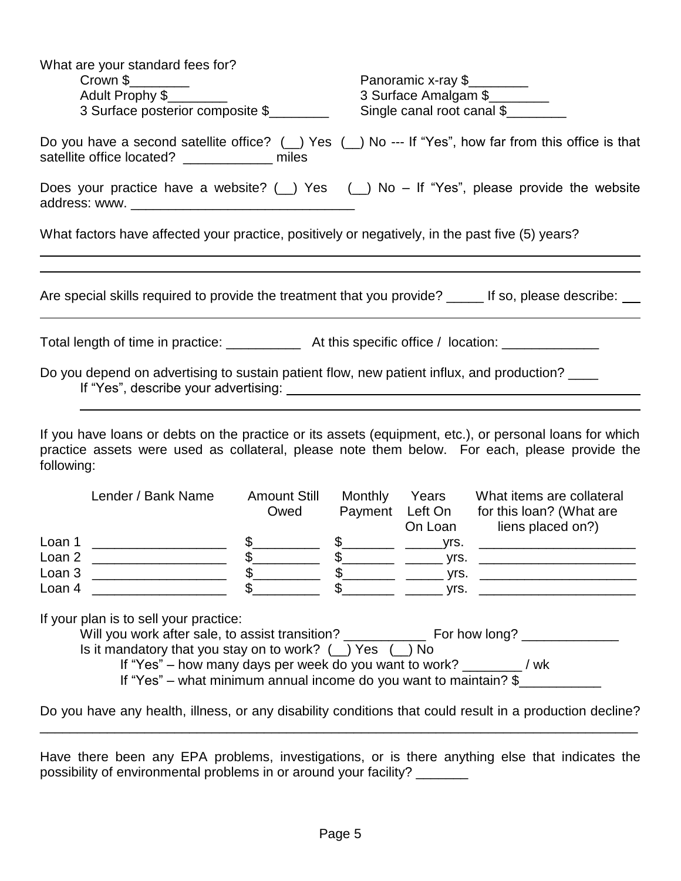| What are your standard fees for?<br>Crown \$<br>Adult Prophy \$<br>3 Surface posterior composite \$                                                                                                                    | Panoramic x-ray \$<br>3 Surface Amalgam \$<br>Single canal root canal \$ |
|------------------------------------------------------------------------------------------------------------------------------------------------------------------------------------------------------------------------|--------------------------------------------------------------------------|
| Do you have a second satellite office? $(\_)$ Yes $(\_)$ No --- If "Yes", how far from this office is that<br>satellite office located? ______________ miles                                                           |                                                                          |
| Does your practice have a website? ( $\Box$ ) Yes ( $\Box$ ) No – If "Yes", please provide the website                                                                                                                 |                                                                          |
| What factors have affected your practice, positively or negatively, in the past five (5) years?                                                                                                                        |                                                                          |
|                                                                                                                                                                                                                        |                                                                          |
| Are special skills required to provide the treatment that you provide? _____ If so, please describe: __                                                                                                                |                                                                          |
| Total length of time in practice: ____________ At this specific office / location: _______________                                                                                                                     |                                                                          |
| Do you depend on advertising to sustain patient flow, new patient influx, and production?                                                                                                                              |                                                                          |
|                                                                                                                                                                                                                        |                                                                          |
| If you have loans or debts on the practice or its assets (equipment, etc.), or personal loans for which<br>practice assets were used as collateral, please note them below. For each, please provide the<br>following: |                                                                          |

|                                      | Lender / Bank Name | <b>Amount Still</b><br>Owed | Monthly<br>Payment Left On | Years<br>On Loan             | What items are collateral<br>for this loan? (What are<br>liens placed on?) |
|--------------------------------------|--------------------|-----------------------------|----------------------------|------------------------------|----------------------------------------------------------------------------|
| Loan 1<br>Loan 2<br>Loan 3<br>Loan 4 |                    |                             |                            | vrs.<br>vrs.<br>vrs.<br>vrs. |                                                                            |

If your plan is to sell your practice:

Will you work after sale, to assist transition? \_\_\_\_\_\_\_\_\_\_\_ For how long? \_\_\_\_\_\_\_\_\_\_\_\_\_ Is it mandatory that you stay on to work?  $(\_)$  Yes  $(\_)$  No

If "Yes" – how many days per week do you want to work? \_\_\_\_\_\_\_\_ / wk

If "Yes" – what minimum annual income do you want to maintain? \$

Do you have any health, illness, or any disability conditions that could result in a production decline? \_\_\_\_\_\_\_\_\_\_\_\_\_\_\_\_\_\_\_\_\_\_\_\_\_\_\_\_\_\_\_\_\_\_\_\_\_\_\_\_\_\_\_\_\_\_\_\_\_\_\_\_\_\_\_\_\_\_\_\_\_\_\_\_\_\_\_\_\_\_\_\_\_\_\_\_\_\_\_\_

Have there been any EPA problems, investigations, or is there anything else that indicates the possibility of environmental problems in or around your facility? \_\_\_\_\_\_\_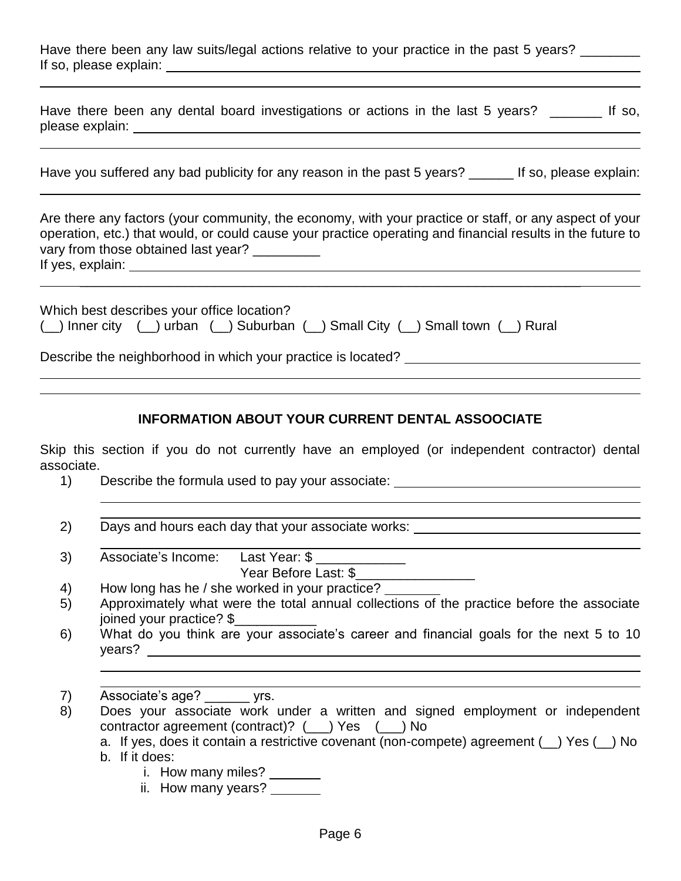| Have there been any law suits/legal actions relative to your practice in the past 5 years? |  |  |  |  |
|--------------------------------------------------------------------------------------------|--|--|--|--|
| If so, please explain:                                                                     |  |  |  |  |

|                 |  |  | Have there been any dental board investigations or actions in the last 5 years? |  |  |  | If so, |
|-----------------|--|--|---------------------------------------------------------------------------------|--|--|--|--------|
| please explain: |  |  |                                                                                 |  |  |  |        |

Are there any factors (your community, the economy, with your practice or staff, or any aspect of your operation, etc.) that would, or could cause your practice operating and financial results in the future to vary from those obtained last year? \_\_\_\_\_\_\_\_\_

\_\_\_\_\_\_\_\_\_\_\_\_\_\_\_\_\_\_\_\_\_\_\_\_\_\_\_\_\_\_\_\_\_\_\_\_\_\_\_\_\_\_\_\_\_\_\_\_\_\_\_\_\_\_\_\_\_\_\_\_\_\_\_\_\_\_\_

If yes, explain:

| Which best describes your office location? |  |                                                                               |  |
|--------------------------------------------|--|-------------------------------------------------------------------------------|--|
|                                            |  | ( ) Inner city ( ) urban ( ) Suburban ( ) Small City ( ) Small town ( ) Rural |  |

Describe the neighborhood in which your practice is located?

#### **INFORMATION ABOUT YOUR CURRENT DENTAL ASSOOCIATE**

Skip this section if you do not currently have an employed (or independent contractor) dental associate.

1) Describe the formula used to pay your associate:

| 2) | Days and hours each day that your associate works: |
|----|----------------------------------------------------|
|    |                                                    |

3) Associate's Income: Last Year: \$ Year Before Last: \$

4) How long has he / she worked in your practice?

- 5) Approximately what were the total annual collections of the practice before the associate joined your practice? \$\_\_\_\_\_\_\_\_\_\_\_
- 6) What do you think are your associate's career and financial goals for the next 5 to 10 years?
- 7) Associate's age? \_\_\_\_\_\_ yrs.
- 8) Does your associate work under a written and signed employment or independent contractor agreement (contract)? (\_\_\_) Yes (\_\_\_) No
	- a. If yes, does it contain a restrictive covenant (non-compete) agreement (\_\_) Yes (\_\_) No
	- b. If it does:
		- i. How many miles?
		- ii. How many years?